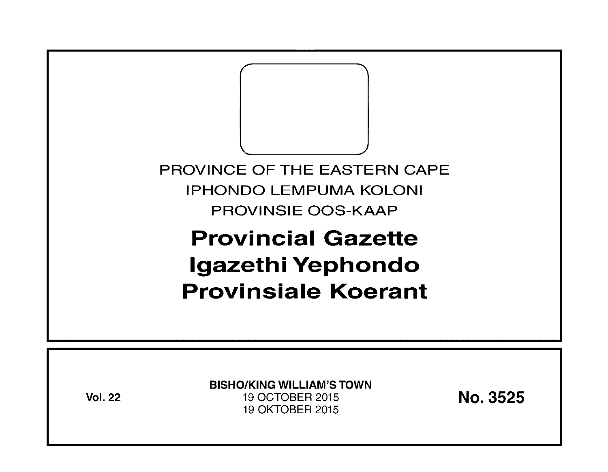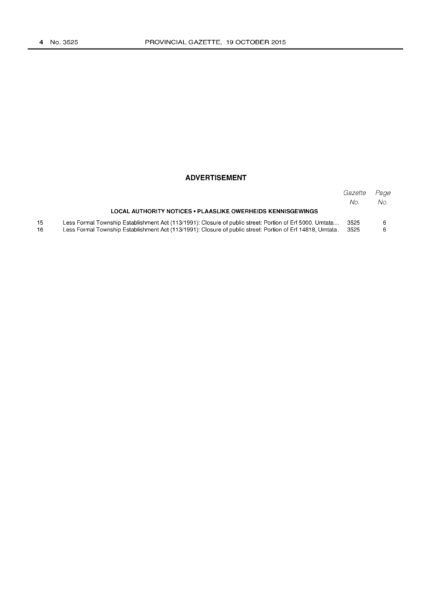15 16

#### **ADVERTISEMENT**

|                                                                                                            | Gazette | Page |
|------------------------------------------------------------------------------------------------------------|---------|------|
|                                                                                                            | No.     | No.  |
| <b>LOCAL AUTHORITY NOTICES • PLAASLIKE OWERHEIDS KENNISGEWINGS</b>                                         |         |      |
| Less Formal Township Establishment Act (113/1991): Closure of public street: Portion of Erf 5000, Umtata   | 3525    |      |
| Less Formal Township Establishment Act (113/1991): Closure of public street: Portion of Erf 14818, Umtata. | 3525    |      |